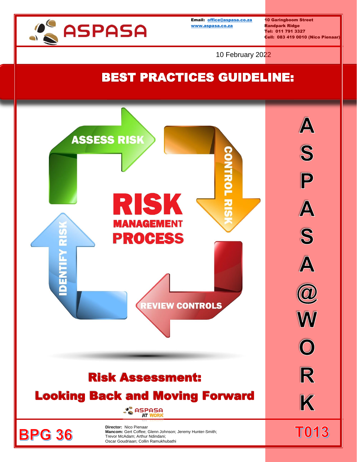

Email: [office@aspasa.co.za](mailto:office@aspasa.co.za) 10 Garingboom Street [www.aspasa.co.za](http://www.aspasa.co.za/) Randpark Ridge

Tel: 011 791 3327 Cell: 083 419 0010 (Nico Pienaar)

10 February 2022

## BEST PRACTICES GUIDELINE:

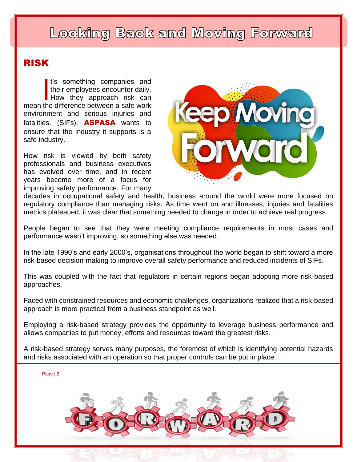## Looking Back and Moving Forward

## RISK

t's something companies and their employees encounter daily. How they approach risk can <sup>t's</sup> something companies and<br>their employees encounter daily.<br>How they approach risk can<br>mean the difference between a safe work environment and serious injuries and fatalities. (SIFs). **ASPASA** wants to ensure that the industry it supports is a safe industry.

How risk is viewed by both safety professionals and business executives has evolved over time, and in recent years become more of a focus for improving safety performance. For many



decades in occupational safety and health, business around the world were more focused on regulatory compliance than managing risks. As time went on and illnesses, injuries and fatalities metrics plateaued, it was clear that something needed to change in order to achieve real progress.

People began to see that they were meeting compliance requirements in most cases and performance wasn't improving, so something else was needed.

In the late 1990's and early 2000's, organisations throughout the world began to shift toward a more risk-based decision-making to improve overall safety performance and reduced incidents of SIFs.

This was coupled with the fact that regulators in certain regions began adopting more risk-based approaches.

Faced with constrained resources and economic challenges, organizations realized that a risk-based approach is more practical from a business standpoint as well.

Employing a risk-based strategy provides the opportunity to leverage business performance and allows companies to put money, efforts and resources toward the greatest risks.

A risk-based strategy serves many purposes, the foremost of which is identifying potential hazards and risks associated with an operation so that proper controls can be put in place.

Page | 2

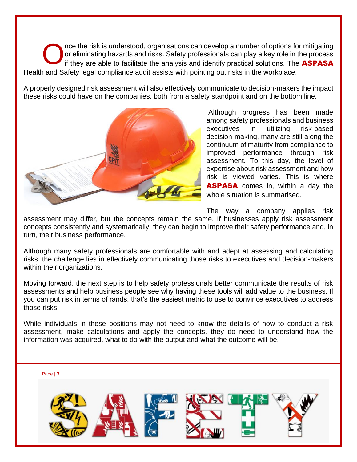nce the risk is understood, organisations can develop a number of options for mitigating or eliminating hazards and risks. Safety professionals can play a key role in the process if they are able to facilitate the analysis and identify practical solutions. The **ASPASA** Health and Safety legal compliance audit assists with pointing out risks in the workplace. O

A properly designed risk assessment will also effectively communicate to decision-makers the impact these risks could have on the companies, both from a safety standpoint and on the bottom line.



Although progress has been made among safety professionals and business executives in utilizing risk-based decision-making, many are still along the continuum of maturity from compliance to improved performance through risk assessment. To this day, the level of expertise about risk assessment and how risk is viewed varies. This is where **ASPASA** comes in, within a day the whole situation is summarised.

The way a company applies risk

assessment may differ, but the concepts remain the same. If businesses apply risk assessment concepts consistently and systematically, they can begin to improve their safety performance and, in turn, their business performance.

Although many safety professionals are comfortable with and adept at assessing and calculating risks, the challenge lies in effectively communicating those risks to executives and decision-makers within their organizations.

Moving forward, the next step is to help safety professionals better communicate the results of risk assessments and help business people see why having these tools will add value to the business. If you can put risk in terms of rands, that's the easiest metric to use to convince executives to address those risks.

While individuals in these positions may not need to know the details of how to conduct a risk assessment, make calculations and apply the concepts, they do need to understand how the information was acquired, what to do with the output and what the outcome will be.

Page | 3